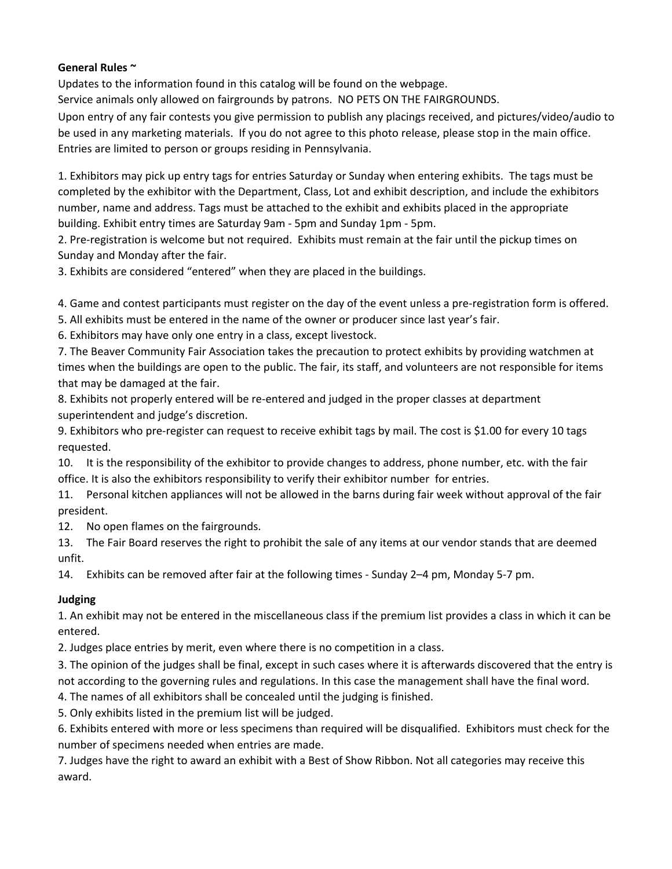## **General Rules ~**

Updates to the information found in this catalog will be found on the webpage.

Service animals only allowed on fairgrounds by patrons. NO PETS ON THE FAIRGROUNDS.

Upon entry of any fair contests you give permission to publish any placings received, and pictures/video/audio to be used in any marketing materials. If you do not agree to this photo release, please stop in the main office. Entries are limited to person or groups residing in Pennsylvania.

1. Exhibitors may pick up entry tags for entries Saturday or Sunday when entering exhibits. The tags must be completed by the exhibitor with the Department, Class, Lot and exhibit description, and include the exhibitors number, name and address. Tags must be attached to the exhibit and exhibits placed in the appropriate building. Exhibit entry times are Saturday 9am - 5pm and Sunday 1pm - 5pm.

2. Pre-registration is welcome but not required. Exhibits must remain at the fair until the pickup times on Sunday and Monday after the fair.

3. Exhibits are considered "entered" when they are placed in the buildings.

4. Game and contest participants must register on the day of the event unless a pre-registration form is offered.

5. All exhibits must be entered in the name of the owner or producer since last year's fair.

6. Exhibitors may have only one entry in a class, except livestock.

7. The Beaver Community Fair Association takes the precaution to protect exhibits by providing watchmen at times when the buildings are open to the public. The fair, its staff, and volunteers are not responsible for items that may be damaged at the fair.

8. Exhibits not properly entered will be re-entered and judged in the proper classes at department superintendent and judge's discretion.

9. Exhibitors who pre-register can request to receive exhibit tags by mail. The cost is \$1.00 for every 10 tags requested.

10. It is the responsibility of the exhibitor to provide changes to address, phone number, etc. with the fair office. It is also the exhibitors responsibility to verify their exhibitor number for entries.

11. Personal kitchen appliances will not be allowed in the barns during fair week without approval of the fair president.

12. No open flames on the fairgrounds.

13. The Fair Board reserves the right to prohibit the sale of any items at our vendor stands that are deemed unfit.

14. Exhibits can be removed after fair at the following times - Sunday 2–4 pm, Monday 5-7 pm.

## **Judging**

1. An exhibit may not be entered in the miscellaneous class if the premium list provides a class in which it can be entered.

2. Judges place entries by merit, even where there is no competition in a class.

3. The opinion of the judges shall be final, except in such cases where it is afterwards discovered that the entry is not according to the governing rules and regulations. In this case the management shall have the final word.

4. The names of all exhibitors shall be concealed until the judging is finished.

5. Only exhibits listed in the premium list will be judged.

6. Exhibits entered with more or less specimens than required will be disqualified. Exhibitors must check for the number of specimens needed when entries are made.

7. Judges have the right to award an exhibit with a Best of Show Ribbon. Not all categories may receive this award.